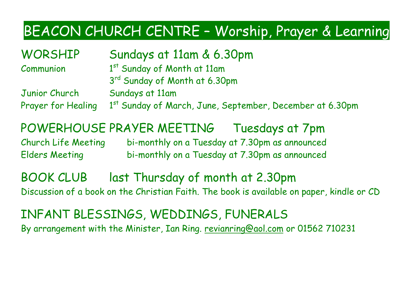### BEACON CHURCH CENTRE – Worship, Prayer & Learning

WORSHIP Sundays at 11am & 6.30pm

**Communion** 

1st Sunday of Month at 11am 3<sup>rd</sup> Sunday of Month at 6.30pm

Junior Church Sundays at 11am Prayer for Healing 1<sup>st</sup> Sunday of March, June, September, December at 6.30pm

POWERHOUSE PRAYER MEETING Tuesdays at 7pm

Church Life Meeting bi-monthly on a Tuesday at 7.30pm as announced Elders Meeting bi-monthly on a Tuesday at 7.30pm as announced

BOOK CLUB last Thursday of month at 2.30pm Discussion of a book on the Christian Faith. The book is available on paper, kindle or CD

INFANT BLESSINGS, WEDDINGS, FUNERALS By arrangement with the Minister, Ian Ring. [revianring@aol.com](mailto:revianring@aol.com) or 01562 710231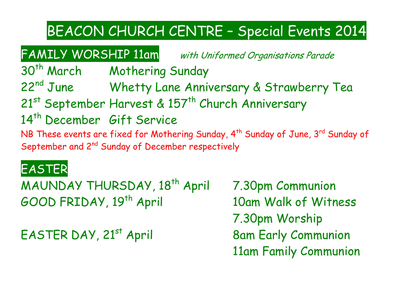### BEACON CHURCH CENTRE – Special Events 2014

FAMILY WORSHIP 11am with Uniformed Organisations Parade

30<sup>th</sup> March Mothering Sunday 22<sup>nd</sup> June Whetty Lane Anniversary & Strawberry Tea 21<sup>st</sup> September Harvest & 157<sup>th</sup> Church Anniversary 14<sup>th</sup> December Gift Service NB These events are fixed for Mothering Sunday, 4<sup>th</sup> Sunday of June, 3<sup>rd</sup> Sunday of September and 2<sup>nd</sup> Sunday of December respectively

### EASTER

MAUNDAY THURSDAY, 18<sup>th</sup> April 7.30pm Communion GOOD FRIDAY, 19th April 10am Walk of Witness

EASTER DAY, 21<sup>st</sup> April 8am Early Communion

7.30pm Worship 11am Family Communion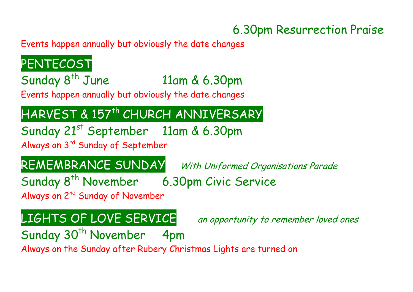#### 6.30pm Resurrection Praise

Events happen annually but obviously the date changes

**PENTECOST** Sunday 8<sup>th</sup> June 11am & 6.30pm Events happen annually but obviously the date changes HARVEST & 157th CHURCH ANNIVERSARY Sunday 21st September 11am & 6.30pm Always on 3rd Sunday of September REMEMBRANCE SUNDAY With Uniformed Organisations Parade Sunday 8<sup>th</sup> November 6.30pm Civic Service Always on 2<sup>nd</sup> Sunday of November LIGHTS OF LOVE SERVICE an opportunity to remember loved ones Sunday 30<sup>th</sup> November 4pm

Always on the Sunday after Rubery Christmas Lights are turned on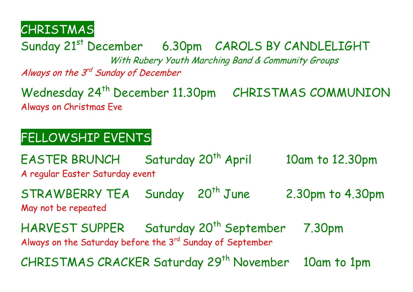CHRISTMAS

Sunday 21<sup>st</sup> December 6.30pm CAROLS BY CANDLELIGHT

With Rubery Youth Marching Band & Community Groups

Always on the 3<sup>rd</sup> Sunday of December

Wednesday 24<sup>th</sup> December 11.30pm CHRISTMAS COMMUNION Always on Christmas Eve

#### FELLOWSHIP EVENTS

EASTER BRUNCH Saturday 20<sup>th</sup> April 10am to 12.30pm A regular Easter Saturday event

STRAWBERRY TEA Sunday 20<sup>th</sup> June 2.30pm to 4.30pm May not be repeated

**HARVEST SUPPER** Saturday 20<sup>th</sup> September 7.30pm Always on the Saturday before the 3<sup>rd</sup> Sunday of September

CHRISTMAS CRACKER Saturday 29<sup>th</sup> November 10am to 1pm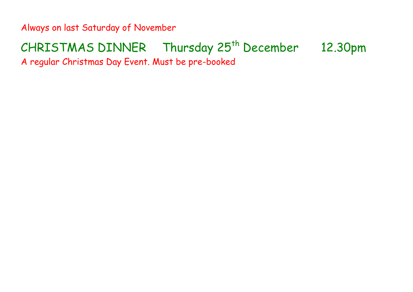Always on last Saturday of November

## CHRISTMAS DINNER Thursday 25<sup>th</sup> December 12.30pm

A regular Christmas Day Event. Must be pre-booked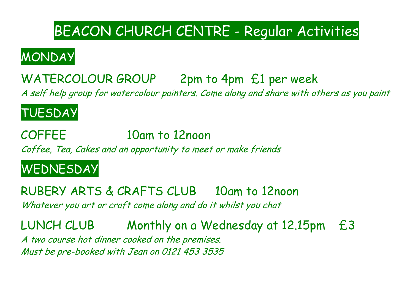### BEACON CHURCH CENTRE - Regular Activities

### MONDAY

### WATERCOLOUR GROUP 2pm to 4pm £1 per week

A self help group for watercolour painters. Come along and share with others as you paint

#### TUESDAY

COFFEE 10am to 12noon Coffee, Tea, Cakes and an opportunity to meet or make friends

#### WEDNESDAY

RUBERY ARTS & CRAFTS CLUB 10am to 12noon Whatever you art or craft come along and do it whilst you chat

LUNCH CLUB Monthly on a Wednesday at 12.15pm £3 A two course hot dinner cooked on the premises. Must be pre-booked with Jean on 0121 453 3535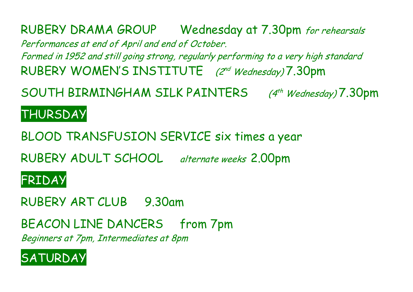RUBERY DRAMA GROUP Wednesday at 7.30pm for rehearsals Performances at end of April and end of October. Formed in 1952 and still going strong, regularly performing to a very high standard RUBERY WOMEN'S INSTITUTE (2nd Wednesday) 7.30pm

SOUTH BIRMINGHAM SILK PAINTERS (4<sup>th</sup> Wednesday) 7.30pm

#### **THURSDAY**

BLOOD TRANSFUSION SERVICE six times a year

RUBERY ADULT SCHOOL alternate weeks 2.00pm

#### FRIDAY

RUBERY ART CLUB 9.30am

BEACON LINE DANCERS from 7pm

Beginners at 7pm, Intermediates at 8pm

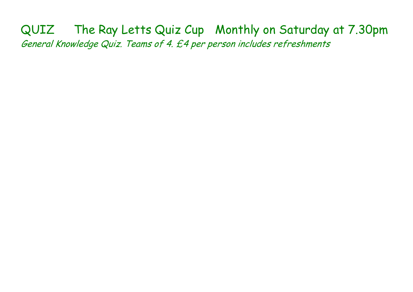QUIZ The Ray Letts Quiz Cup Monthly on Saturday at 7.30pm General Knowledge Quiz. Teams of 4. £4 per person includes refreshments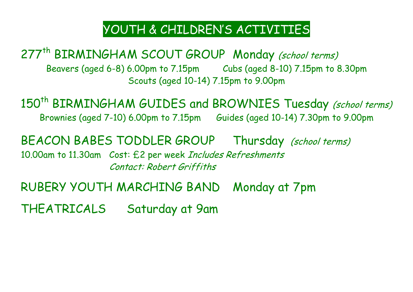#### YOUTH & CHILDREN'S ACTIVITIES

277<sup>th</sup> BIRMINGHAM SCOUT GROUP Monday (school terms) Beavers (aged 6-8) 6.00pm to 7.15pm Cubs (aged 8-10) 7.15pm to 8.30pm Scouts (aged 10-14) 7.15pm to 9.00pm

150<sup>th</sup> BIRMINGHAM GUIDES and BROWNIES Tuesday (school terms) Brownies (aged 7-10) 6.00pm to 7.15pm Guides (aged 10-14) 7.30pm to 9.00pm

BEACON BABES TODDLER GROUP Thursday (school terms) 10.00am to 11.30am Cost: £2 per week Includes Refreshments Contact: Robert Griffiths

RUBERY YOUTH MARCHING BAND Monday at 7pm

THEATRICALS Saturday at 9am